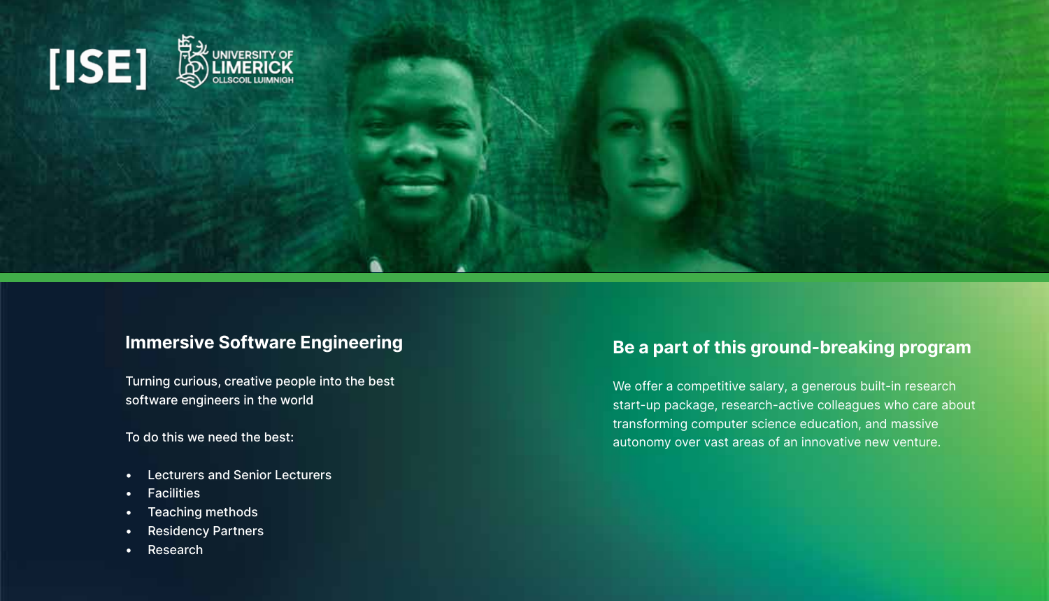

## Immersive Software Engineering

Turning curious, creative people into the best software engineers in the world

To do this we need the best:

- Lecturers and Senior Lecturers
- Facilities
- Teaching methods
- Residency Partners
- Research

## Be a part of this ground-breaking program

We offer a competitive salary, a generous built-in research start-up package, research-active colleagues who care about transforming computer science education, and massive autonomy over vast areas of an innovative new venture.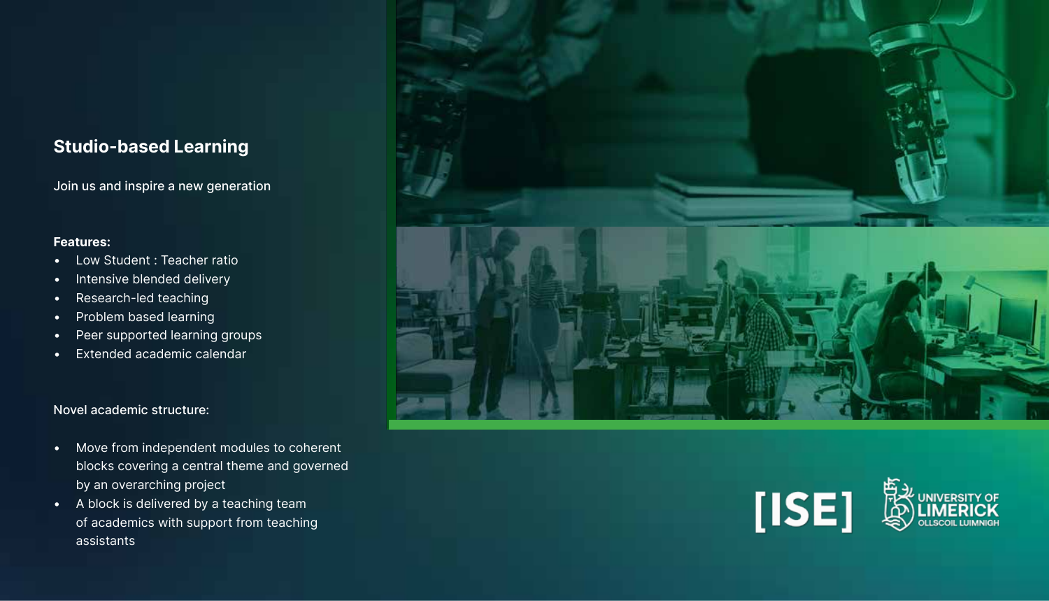## Studio-based Learning

Join us and inspire a new generation

#### Features:

- Low Student : Teacher ratio
- Intensive blended delivery
- Research-led teaching
- Problem based learning
- Peer supported learning groups
- Extended academic calendar

#### Novel academic structure:

- Move from independent modules to coherent blocks covering a central theme and governed by an overarching project
- A block is delivered by a teaching team of academics with support from teaching assistants



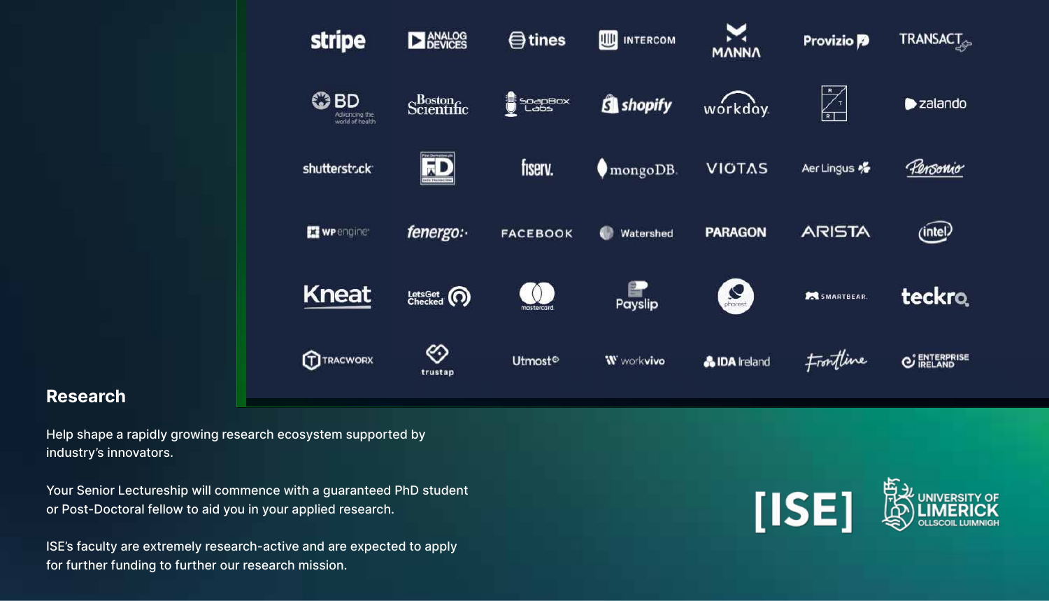

### Research

Help shape a rapidly growing research ecosystem supported by industry's innovators.

Your Senior Lectureship will commence with a guaranteed PhD student or Post-Doctoral fellow to aid you in your applied research.

ISE's faculty are extremely research-active and are expected to apply for further funding to further our research mission.

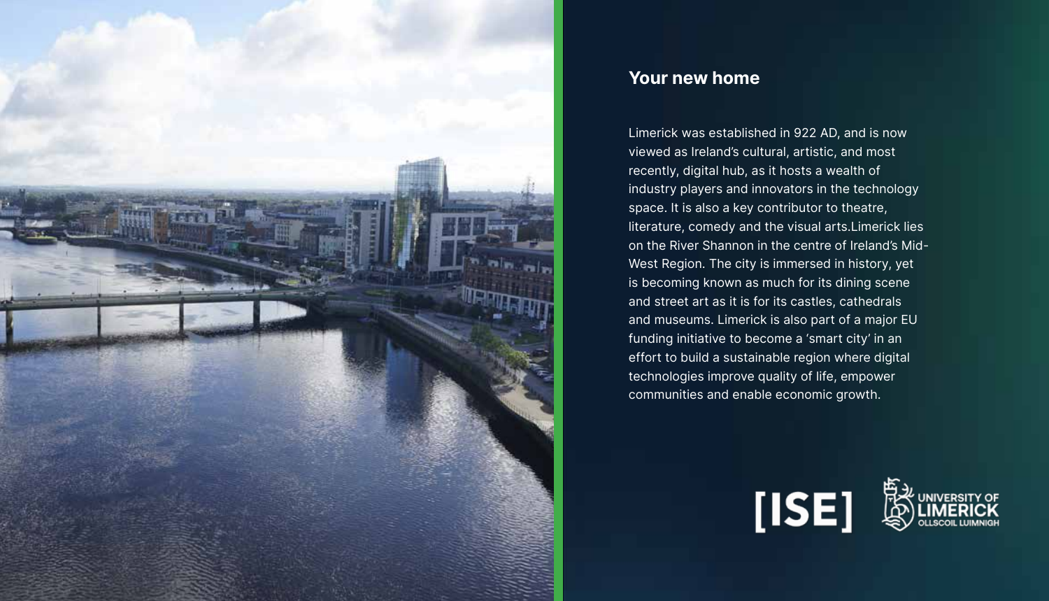

## Your new home

Limerick was established in 922 AD, and is now viewed as Ireland's cultural, artistic, and most recently, digital hub, as it hosts a wealth of industry players and innovators in the technology space. It is also a key contributor to theatre, literature, comedy and the visual arts.Limerick lies on the River Shannon in the centre of Ireland's Mid-West Region. The city is immersed in history, yet is becoming known as much for its dining scene and street art as it is for its castles, cathedrals and museums. Limerick is also part of a major EU funding initiative to become a 'smart city' in an effort to build a sustainable region where digital technologies improve quality of life, empower communities and enable economic growth.

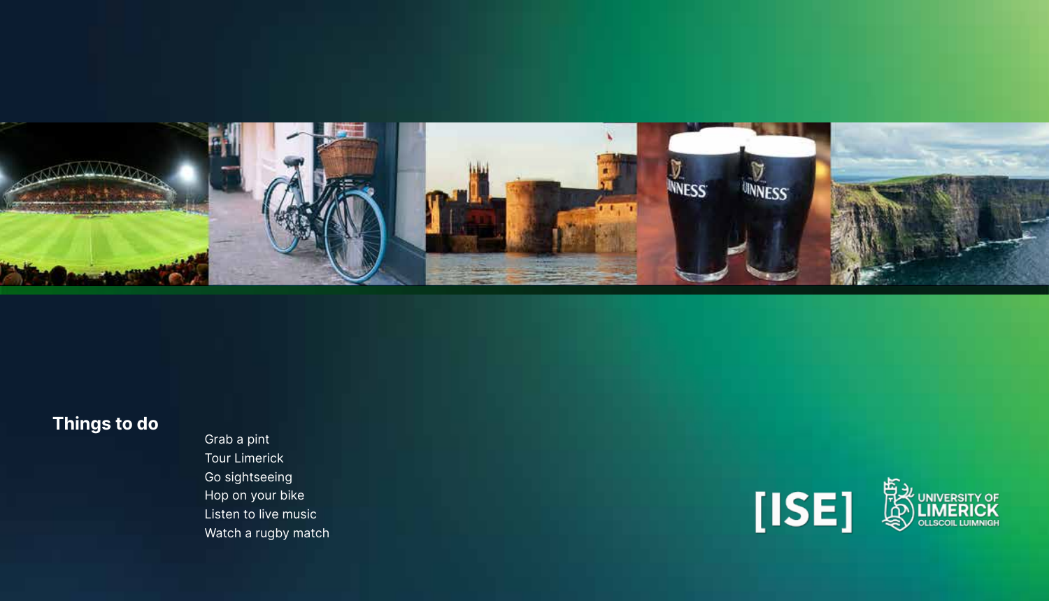

# Things to do

Grab a pint Tour Limerick Go sightseeing Hop on your bike Listen to live music Watch a rugby match